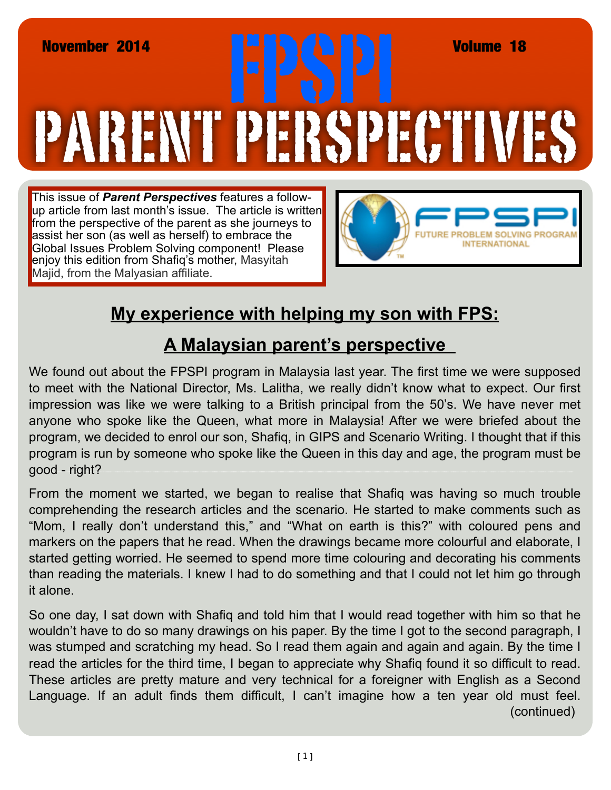## PARENT PERSPECTIVE November 2014<br> **FRANCIS (REV. 1988)**<br>
TRANCIS (REV. 1988)<br>
TRANCIS (REV. 1988)<br>
TRANCIS (REV. 1988)<br>
TRANCIS (REV. 1988)<br>
TRANCIS (REV. 1989)

This issue of *Parent Perspectives* features a followup article from last month's issue. The article is written from the perspective of the parent as she journeys to assist her son (as well as herself) to embrace the Global Issues Problem Solving component! Please enjoy this edition from Shafiq's mother, Masyitah Majid, from the Malyasian affiliate.



## **My experience with helping my son with FPS:**

## **A Malaysian parent's perspective**

We found out about the FPSPI program in Malaysia last year. The first time we were supposed to meet with the National Director, Ms. Lalitha, we really didn't know what to expect. Our first impression was like we were talking to a British principal from the 50's. We have never met anyone who spoke like the Queen, what more in Malaysia! After we were briefed about the program, we decided to enrol our son, Shafiq, in GIPS and Scenario Writing. I thought that if this program is run by someone who spoke like the Queen in this day and age, the program must be good - right?

From the moment we started, we began to realise that Shafiq was having so much trouble comprehending the research articles and the scenario. He started to make comments such as "Mom, I really don't understand this," and "What on earth is this?" with coloured pens and markers on the papers that he read. When the drawings became more colourful and elaborate, I started getting worried. He seemed to spend more time colouring and decorating his comments than reading the materials. I knew I had to do something and that I could not let him go through it alone.

So one day, I sat down with Shafiq and told him that I would read together with him so that he wouldn't have to do so many drawings on his paper. By the time I got to the second paragraph, I was stumped and scratching my head. So I read them again and again and again. By the time I read the articles for the third time, I began to appreciate why Shafiq found it so difficult to read. These articles are pretty mature and very technical for a foreigner with English as a Second Language. If an adult finds them difficult, I can't imagine how a ten year old must feel. (continued)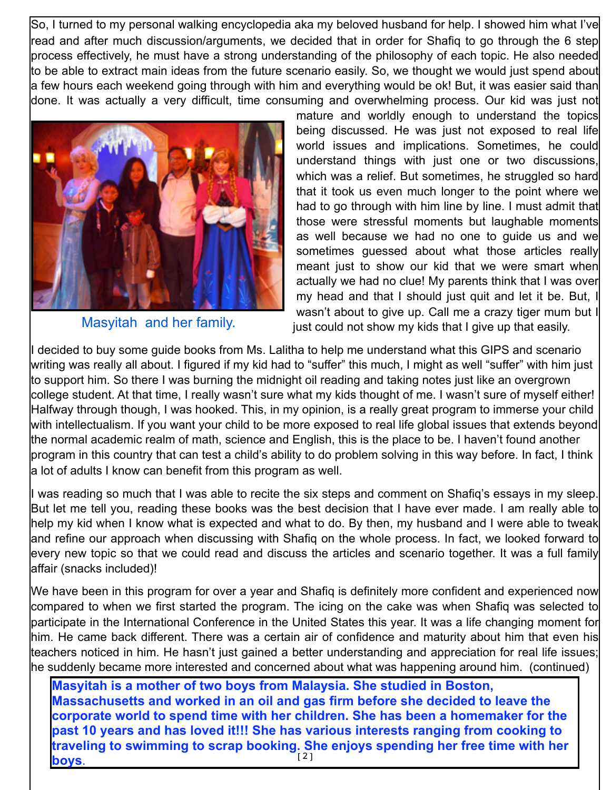So, I turned to my personal walking encyclopedia aka my beloved husband for help. I showed him what I've read and after much discussion/arguments, we decided that in order for Shafiq to go through the 6 step process effectively, he must have a strong understanding of the philosophy of each topic. He also needed to be able to extract main ideas from the future scenario easily. So, we thought we would just spend about a few hours each weekend going through with him and everything would be ok! But, it was easier said than done. It was actually a very difficult, time consuming and overwhelming process. Our kid was just not



Masyitah and her family.

mature and worldly enough to understand the topics being discussed. He was just not exposed to real life world issues and implications. Sometimes, he could understand things with just one or two discussions, which was a relief. But sometimes, he struggled so hard that it took us even much longer to the point where we had to go through with him line by line. I must admit that those were stressful moments but laughable moments as well because we had no one to guide us and we sometimes guessed about what those articles really meant just to show our kid that we were smart when actually we had no clue! My parents think that I was over my head and that I should just quit and let it be. But, I wasn't about to give up. Call me a crazy tiger mum but I just could not show my kids that I give up that easily.

I decided to buy some guide books from Ms. Lalitha to help me understand what this GIPS and scenario writing was really all about. I figured if my kid had to "suffer" this much, I might as well "suffer" with him just to support him. So there I was burning the midnight oil reading and taking notes just like an overgrown college student. At that time, I really wasn't sure what my kids thought of me. I wasn't sure of myself either! Halfway through though, I was hooked. This, in my opinion, is a really great program to immerse your child with intellectualism. If you want your child to be more exposed to real life global issues that extends beyond the normal academic realm of math, science and English, this is the place to be. I haven't found another program in this country that can test a child's ability to do problem solving in this way before. In fact, I think a lot of adults I know can benefit from this program as well.

I was reading so much that I was able to recite the six steps and comment on Shafiq's essays in my sleep. But let me tell you, reading these books was the best decision that I have ever made. I am really able to help my kid when I know what is expected and what to do. By then, my husband and I were able to tweak and refine our approach when discussing with Shafiq on the whole process. In fact, we looked forward to every new topic so that we could read and discuss the articles and scenario together. It was a full family affair (snacks included)!

We have been in this program for over a year and Shafiq is definitely more confident and experienced now compared to when we first started the program. The icing on the cake was when Shafiq was selected to participate in the International Conference in the United States this year. It was a life changing moment for him. He came back different. There was a certain air of confidence and maturity about him that even his teachers noticed in him. He hasn't just gained a better understanding and appreciation for real life issues; he suddenly became more interested and concerned about what was happening around him. (continued)

[2] **Masyitah is a mother of two boys from Malaysia. She studied in Boston, Massachusetts and worked in an oil and gas firm before she decided to leave the corporate world to spend time with her children. She has been a homemaker for the past 10 years and has loved it!!! She has various interests ranging from cooking to traveling to swimming to scrap booking. She enjoys spending her free time with her boys**.